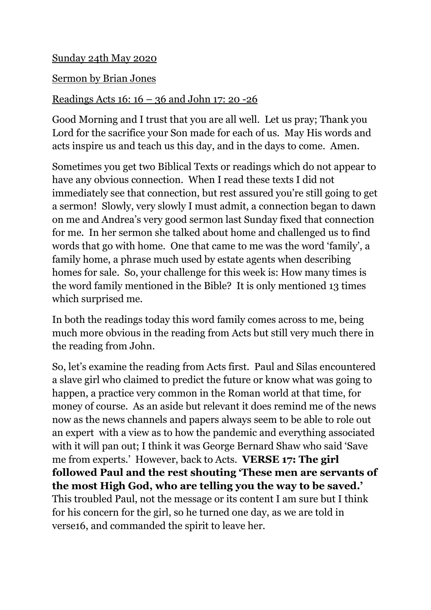## Sunday 24th May 2020

## Sermon by Brian Jones

## Readings Acts 16: 16 – 36 and John 17: 20 -26

Good Morning and I trust that you are all well. Let us pray; Thank you Lord for the sacrifice your Son made for each of us. May His words and acts inspire us and teach us this day, and in the days to come. Amen.

Sometimes you get two Biblical Texts or readings which do not appear to have any obvious connection. When I read these texts I did not immediately see that connection, but rest assured you're still going to get a sermon! Slowly, very slowly I must admit, a connection began to dawn on me and Andrea's very good sermon last Sunday fixed that connection for me. In her sermon she talked about home and challenged us to find words that go with home. One that came to me was the word 'family', a family home, a phrase much used by estate agents when describing homes for sale. So, your challenge for this week is: How many times is the word family mentioned in the Bible? It is only mentioned 13 times which surprised me.

In both the readings today this word family comes across to me, being much more obvious in the reading from Acts but still very much there in the reading from John.

So, let's examine the reading from Acts first. Paul and Silas encountered a slave girl who claimed to predict the future or know what was going to happen, a practice very common in the Roman world at that time, for money of course. As an aside but relevant it does remind me of the news now as the news channels and papers always seem to be able to role out an expert with a view as to how the pandemic and everything associated with it will pan out; I think it was George Bernard Shaw who said 'Save me from experts.' However, back to Acts. **VERSE 17: The girl followed Paul and the rest shouting 'These men are servants of the most High God, who are telling you the way to be saved.'** This troubled Paul, not the message or its content I am sure but I think for his concern for the girl, so he turned one day, as we are told in verse16, and commanded the spirit to leave her.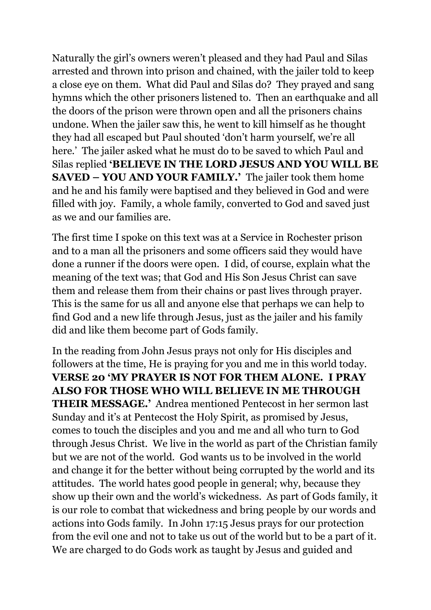Naturally the girl's owners weren't pleased and they had Paul and Silas arrested and thrown into prison and chained, with the jailer told to keep a close eye on them. What did Paul and Silas do? They prayed and sang hymns which the other prisoners listened to. Then an earthquake and all the doors of the prison were thrown open and all the prisoners chains undone. When the jailer saw this, he went to kill himself as he thought they had all escaped but Paul shouted 'don't harm yourself, we're all here.' The jailer asked what he must do to be saved to which Paul and Silas replied **'BELIEVE IN THE LORD JESUS AND YOU WILL BE SAVED – YOU AND YOUR FAMILY.'** The jailer took them home and he and his family were baptised and they believed in God and were filled with joy. Family, a whole family, converted to God and saved just as we and our families are.

The first time I spoke on this text was at a Service in Rochester prison and to a man all the prisoners and some officers said they would have done a runner if the doors were open. I did, of course, explain what the meaning of the text was; that God and His Son Jesus Christ can save them and release them from their chains or past lives through prayer. This is the same for us all and anyone else that perhaps we can help to find God and a new life through Jesus, just as the jailer and his family did and like them become part of Gods family.

In the reading from John Jesus prays not only for His disciples and followers at the time, He is praying for you and me in this world today. **VERSE 20 'MY PRAYER IS NOT FOR THEM ALONE. I PRAY ALSO FOR THOSE WHO WILL BELIEVE IN ME THROUGH THEIR MESSAGE.'** Andrea mentioned Pentecost in her sermon last Sunday and it's at Pentecost the Holy Spirit, as promised by Jesus, comes to touch the disciples and you and me and all who turn to God through Jesus Christ. We live in the world as part of the Christian family but we are not of the world. God wants us to be involved in the world and change it for the better without being corrupted by the world and its attitudes. The world hates good people in general; why, because they show up their own and the world's wickedness. As part of Gods family, it is our role to combat that wickedness and bring people by our words and actions into Gods family. In John 17:15 Jesus prays for our protection from the evil one and not to take us out of the world but to be a part of it. We are charged to do Gods work as taught by Jesus and guided and